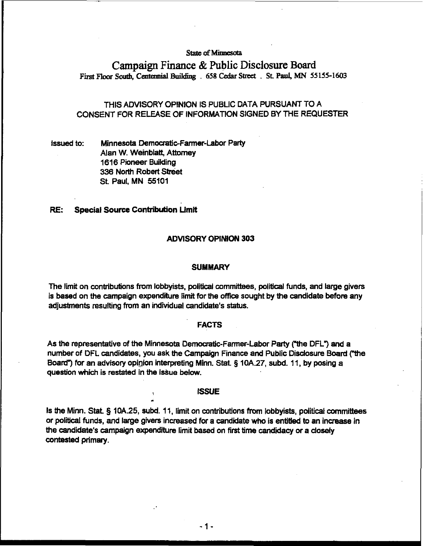## **State of Minnesota**

# **Campaign Finance** & **Public Disclosure Board First Floor soldb, Cenramial** Build@ . **658** Cedar **Strcet** . **St Pad, MN 55 155-1603**

## THIS ADVISORY OPINION IS PUBLIC DATA PURSUANT TO A CONSENT FOR RELEASE OF INFORMATION SIGNED BY THE REQUESTER

Issued to: Minnesota Democratic-Farmer-Labor Party Alan W. Weinblatt, Attorney 1616 Pioneer Building **336 North Robert Street** St Paul. MN 55101

 $\frac{1}{2}$ 

### **RE:** Special Source Contribution Limit

## ADVISORY OPINION 303

#### **SUMMARY**

The limit on contributions **fiom** lobbyists, political committees, political funds, and large givers is based on the campaign expenditure limit for the office sought by the candidate before any adjustments resulting from an individual candidate's status.

#### **FACTS**

As the representative of the Minnesota Democratic-Farmer-Labor Party ("the DFL") and a number of DFL candidates, you ask the Campaign Finance and Public Disclosure Board ("the Board") for an advisory opinion interpreting Minn. Stat. § 10A.27, subd. 11, by posing a question which is restated in the IsSue below.

### ISSUE

Is the Minn. Stat **5** 10A.25, subd. 11, limit on contributions from lobbyists, political committees or **political** funds, and large givers increased for a candidate who is **entitled** to an increase in the candidate's campaign expenditure limit based on first time candidacy or a closely contested primary.

 $-1-$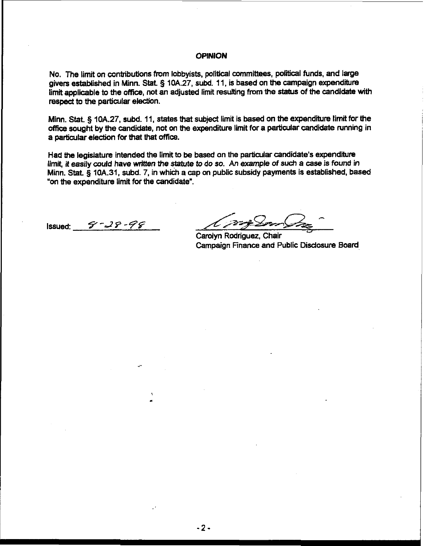## **OPINION**

No. The limit on contributions from lobbyists, political committees, political funds, and large givers established in Minn. Stat § 10A.27, subd. 11, is based on the campaign **expenditure**  limit applicable to the office, not an adjusted limit resulting from the status of the candidate with respect to the particular election.

Minn. Stat, § 10A.27, subd. 11, states that subject limit is based on the expenditure limit for the **office** sought by the candidate, not on **the** expenditure limit for a particular candidate running in a particular election for that that office.

Had the legislature intended the limit to be based on the particular candidate's expenditure limit, it easily could have written the statute to do so. An example of such a case is found in Minn. Stat. § **lOA.31,** subd. 7, in which a cap on public subsidy payments is established, based **'on** the expenditure limit for the candidate'.

Issued:  $9 - 28 - 98$ 

- */L-wz* - - <.

Carolyn Rodriguez, Chair " Campaign Finance and Public Disclosure Board